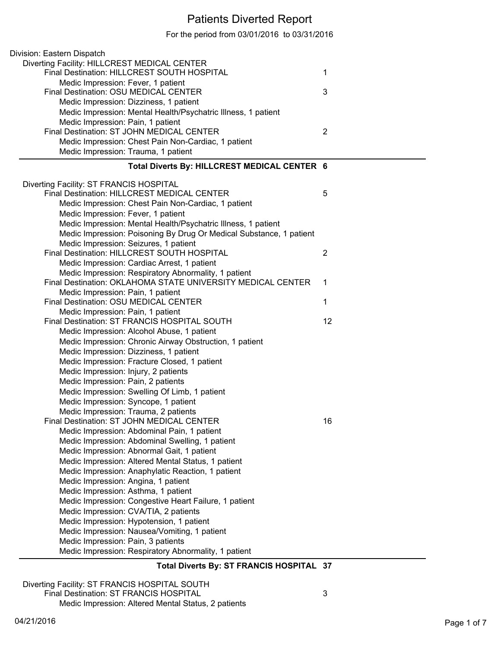## Patients Diverted Report

## For the period from 03/01/2016 to 03/31/2016

| Division: Eastern Dispatch                                          |                |
|---------------------------------------------------------------------|----------------|
| Diverting Facility: HILLCREST MEDICAL CENTER                        |                |
| Final Destination: HILLCREST SOUTH HOSPITAL                         | 1              |
| Medic Impression: Fever, 1 patient                                  |                |
| Final Destination: OSU MEDICAL CENTER                               | 3              |
| Medic Impression: Dizziness, 1 patient                              |                |
| Medic Impression: Mental Health/Psychatric Illness, 1 patient       |                |
| Medic Impression: Pain, 1 patient                                   |                |
| Final Destination: ST JOHN MEDICAL CENTER                           | $\overline{2}$ |
| Medic Impression: Chest Pain Non-Cardiac, 1 patient                 |                |
| Medic Impression: Trauma, 1 patient                                 |                |
| Total Diverts By: HILLCREST MEDICAL CENTER 6                        |                |
|                                                                     |                |
| Diverting Facility: ST FRANCIS HOSPITAL                             |                |
| Final Destination: HILLCREST MEDICAL CENTER                         | 5              |
| Medic Impression: Chest Pain Non-Cardiac, 1 patient                 |                |
| Medic Impression: Fever, 1 patient                                  |                |
| Medic Impression: Mental Health/Psychatric Illness, 1 patient       |                |
| Medic Impression: Poisoning By Drug Or Medical Substance, 1 patient |                |
| Medic Impression: Seizures, 1 patient                               |                |
| Final Destination: HILLCREST SOUTH HOSPITAL                         | $\overline{2}$ |
| Medic Impression: Cardiac Arrest, 1 patient                         |                |
| Medic Impression: Respiratory Abnormality, 1 patient                |                |
| Final Destination: OKLAHOMA STATE UNIVERSITY MEDICAL CENTER         | 1              |
| Medic Impression: Pain, 1 patient                                   |                |
| Final Destination: OSU MEDICAL CENTER                               | 1              |
| Medic Impression: Pain, 1 patient                                   |                |
| Final Destination: ST FRANCIS HOSPITAL SOUTH                        | 12             |
| Medic Impression: Alcohol Abuse, 1 patient                          |                |
| Medic Impression: Chronic Airway Obstruction, 1 patient             |                |
| Medic Impression: Dizziness, 1 patient                              |                |
| Medic Impression: Fracture Closed, 1 patient                        |                |
| Medic Impression: Injury, 2 patients                                |                |
| Medic Impression: Pain, 2 patients                                  |                |
| Medic Impression: Swelling Of Limb, 1 patient                       |                |
| Medic Impression: Syncope, 1 patient                                |                |
| Medic Impression: Trauma, 2 patients                                |                |
| Final Destination: ST JOHN MEDICAL CENTER                           | 16             |
| Medic Impression: Abdominal Pain, 1 patient                         |                |
| Medic Impression: Abdominal Swelling, 1 patient                     |                |
| Medic Impression: Abnormal Gait, 1 patient                          |                |
| Medic Impression: Altered Mental Status, 1 patient                  |                |
| Medic Impression: Anaphylatic Reaction, 1 patient                   |                |
| Medic Impression: Angina, 1 patient                                 |                |
| Medic Impression: Asthma, 1 patient                                 |                |
| Medic Impression: Congestive Heart Failure, 1 patient               |                |
| Medic Impression: CVA/TIA, 2 patients                               |                |
| Medic Impression: Hypotension, 1 patient                            |                |
| Medic Impression: Nausea/Vomiting, 1 patient                        |                |
| Medic Impression: Pain, 3 patients                                  |                |
| Medic Impression: Respiratory Abnormality, 1 patient                |                |
| Total Diverts By: ST FRANCIS HOSPITAL 37                            |                |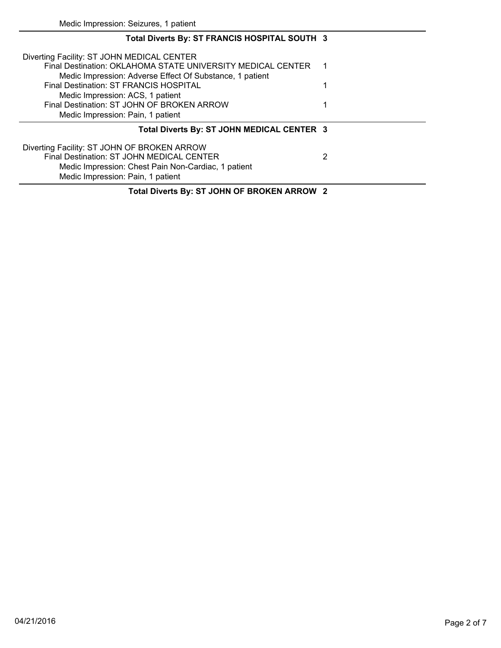| Total Diverts By: ST FRANCIS HOSPITAL SOUTH 3                                                                                                                         |   |
|-----------------------------------------------------------------------------------------------------------------------------------------------------------------------|---|
| Diverting Facility: ST JOHN MEDICAL CENTER<br>Final Destination: OKLAHOMA STATE UNIVERSITY MEDICAL CENTER<br>Medic Impression: Adverse Effect Of Substance, 1 patient |   |
| Final Destination: ST FRANCIS HOSPITAL                                                                                                                                |   |
| Medic Impression: ACS, 1 patient                                                                                                                                      |   |
| Final Destination: ST JOHN OF BROKEN ARROW<br>Medic Impression: Pain, 1 patient                                                                                       |   |
|                                                                                                                                                                       |   |
| Total Diverts By: ST JOHN MEDICAL CENTER 3                                                                                                                            |   |
| Diverting Facility: ST JOHN OF BROKEN ARROW                                                                                                                           |   |
| Final Destination: ST JOHN MEDICAL CENTER                                                                                                                             | 2 |
| Medic Impression: Chest Pain Non-Cardiac, 1 patient                                                                                                                   |   |
| Medic Impression: Pain, 1 patient                                                                                                                                     |   |
| Total Diverts By: ST JOHN OF BROKEN ARROW 2                                                                                                                           |   |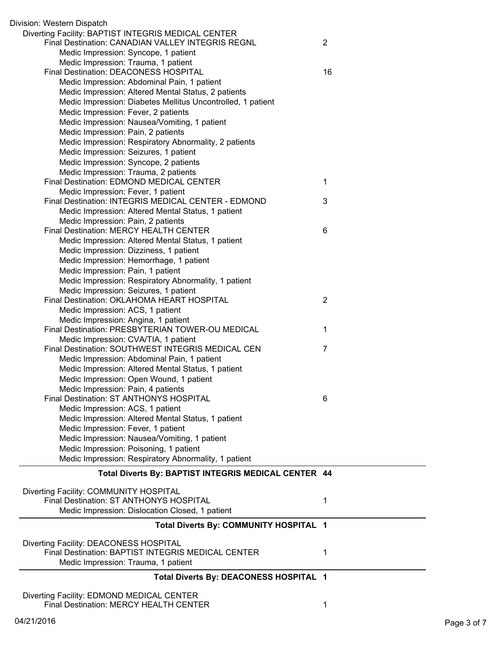| Division: Western Dispatch                                                                |                |
|-------------------------------------------------------------------------------------------|----------------|
| Diverting Facility: BAPTIST INTEGRIS MEDICAL CENTER                                       |                |
| Final Destination: CANADIAN VALLEY INTEGRIS REGNL                                         | $\overline{2}$ |
| Medic Impression: Syncope, 1 patient                                                      |                |
| Medic Impression: Trauma, 1 patient                                                       |                |
| Final Destination: DEACONESS HOSPITAL                                                     | 16             |
| Medic Impression: Abdominal Pain, 1 patient                                               |                |
| Medic Impression: Altered Mental Status, 2 patients                                       |                |
| Medic Impression: Diabetes Mellitus Uncontrolled, 1 patient                               |                |
| Medic Impression: Fever, 2 patients                                                       |                |
| Medic Impression: Nausea/Vomiting, 1 patient                                              |                |
| Medic Impression: Pain, 2 patients                                                        |                |
| Medic Impression: Respiratory Abnormality, 2 patients                                     |                |
| Medic Impression: Seizures, 1 patient                                                     |                |
| Medic Impression: Syncope, 2 patients                                                     |                |
| Medic Impression: Trauma, 2 patients                                                      |                |
| Final Destination: EDMOND MEDICAL CENTER                                                  | 1              |
|                                                                                           |                |
| Medic Impression: Fever, 1 patient<br>Final Destination: INTEGRIS MEDICAL CENTER - EDMOND | 3              |
|                                                                                           |                |
| Medic Impression: Altered Mental Status, 1 patient                                        |                |
| Medic Impression: Pain, 2 patients                                                        |                |
| Final Destination: MERCY HEALTH CENTER                                                    | 6              |
| Medic Impression: Altered Mental Status, 1 patient                                        |                |
| Medic Impression: Dizziness, 1 patient                                                    |                |
| Medic Impression: Hemorrhage, 1 patient                                                   |                |
| Medic Impression: Pain, 1 patient                                                         |                |
| Medic Impression: Respiratory Abnormality, 1 patient                                      |                |
| Medic Impression: Seizures, 1 patient                                                     |                |
| Final Destination: OKLAHOMA HEART HOSPITAL                                                | $\overline{2}$ |
| Medic Impression: ACS, 1 patient                                                          |                |
| Medic Impression: Angina, 1 patient                                                       |                |
| Final Destination: PRESBYTERIAN TOWER-OU MEDICAL                                          | 1              |
| Medic Impression: CVA/TIA, 1 patient                                                      |                |
| Final Destination: SOUTHWEST INTEGRIS MEDICAL CEN                                         | 7              |
| Medic Impression: Abdominal Pain, 1 patient                                               |                |
| Medic Impression: Altered Mental Status, 1 patient                                        |                |
| Medic Impression: Open Wound, 1 patient                                                   |                |
| Medic Impression: Pain, 4 patients                                                        |                |
| Final Destination: ST ANTHONYS HOSPITAL                                                   | 6              |
| Medic Impression: ACS, 1 patient                                                          |                |
| Medic Impression: Altered Mental Status, 1 patient                                        |                |
| Medic Impression: Fever, 1 patient                                                        |                |
| Medic Impression: Nausea/Vomiting, 1 patient                                              |                |
| Medic Impression: Poisoning, 1 patient                                                    |                |
| Medic Impression: Respiratory Abnormality, 1 patient                                      |                |
|                                                                                           |                |
| Total Diverts By: BAPTIST INTEGRIS MEDICAL CENTER 44                                      |                |
| Diverting Facility: COMMUNITY HOSPITAL                                                    |                |
| Final Destination: ST ANTHONYS HOSPITAL                                                   | 1              |
| Medic Impression: Dislocation Closed, 1 patient                                           |                |
|                                                                                           |                |
| Total Diverts By: COMMUNITY HOSPITAL 1                                                    |                |
| Diverting Facility: DEACONESS HOSPITAL                                                    |                |
| Final Destination: BAPTIST INTEGRIS MEDICAL CENTER                                        | 1              |
| Medic Impression: Trauma, 1 patient                                                       |                |
| Total Diverts By: DEACONESS HOSPITAL 1                                                    |                |
|                                                                                           |                |
| Diverting Facility: EDMOND MEDICAL CENTER                                                 |                |
| Final Destination: MERCY HEALTH CENTER                                                    | 1              |

L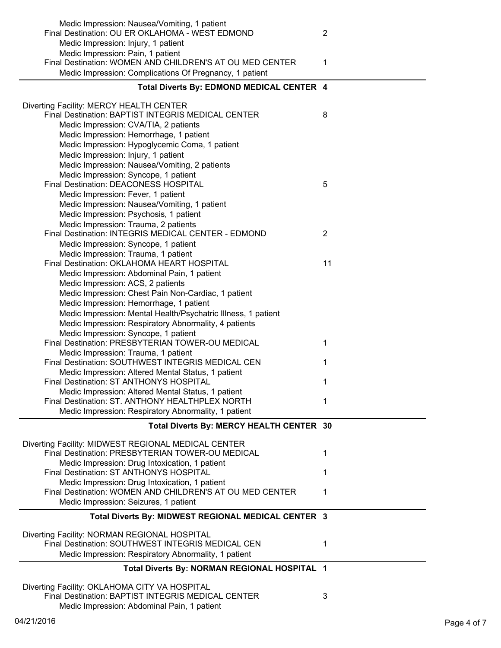| Medic Impression: Nausea/Vomiting, 1 patient<br>Final Destination: OU ER OKLAHOMA - WEST EDMOND     | 2              |
|-----------------------------------------------------------------------------------------------------|----------------|
| Medic Impression: Injury, 1 patient                                                                 |                |
| Medic Impression: Pain, 1 patient                                                                   |                |
| Final Destination: WOMEN AND CHILDREN'S AT OU MED CENTER                                            | 1              |
| Medic Impression: Complications Of Pregnancy, 1 patient                                             |                |
| Total Diverts By: EDMOND MEDICAL CENTER 4                                                           |                |
| Diverting Facility: MERCY HEALTH CENTER                                                             |                |
| Final Destination: BAPTIST INTEGRIS MEDICAL CENTER                                                  | 8              |
| Medic Impression: CVA/TIA, 2 patients                                                               |                |
| Medic Impression: Hemorrhage, 1 patient                                                             |                |
| Medic Impression: Hypoglycemic Coma, 1 patient                                                      |                |
| Medic Impression: Injury, 1 patient                                                                 |                |
| Medic Impression: Nausea/Vomiting, 2 patients                                                       |                |
| Medic Impression: Syncope, 1 patient<br><b>Final Destination: DEACONESS HOSPITAL</b>                | 5              |
| Medic Impression: Fever, 1 patient                                                                  |                |
| Medic Impression: Nausea/Vomiting, 1 patient                                                        |                |
| Medic Impression: Psychosis, 1 patient                                                              |                |
| Medic Impression: Trauma, 2 patients                                                                |                |
| Final Destination: INTEGRIS MEDICAL CENTER - EDMOND                                                 | $\overline{2}$ |
| Medic Impression: Syncope, 1 patient                                                                |                |
| Medic Impression: Trauma, 1 patient                                                                 |                |
| Final Destination: OKLAHOMA HEART HOSPITAL                                                          | 11             |
| Medic Impression: Abdominal Pain, 1 patient                                                         |                |
| Medic Impression: ACS, 2 patients                                                                   |                |
| Medic Impression: Chest Pain Non-Cardiac, 1 patient                                                 |                |
| Medic Impression: Hemorrhage, 1 patient                                                             |                |
| Medic Impression: Mental Health/Psychatric Illness, 1 patient                                       |                |
| Medic Impression: Respiratory Abnormality, 4 patients<br>Medic Impression: Syncope, 1 patient       |                |
| Final Destination: PRESBYTERIAN TOWER-OU MEDICAL                                                    | 1              |
| Medic Impression: Trauma, 1 patient                                                                 |                |
| Final Destination: SOUTHWEST INTEGRIS MEDICAL CEN                                                   | 1              |
| Medic Impression: Altered Mental Status, 1 patient                                                  |                |
| Final Destination: ST ANTHONYS HOSPITAL                                                             | 1              |
| Medic Impression: Altered Mental Status, 1 patient                                                  |                |
| Final Destination: ST. ANTHONY HEALTHPLEX NORTH                                                     | 1              |
| Medic Impression: Respiratory Abnormality, 1 patient                                                |                |
| <b>Total Diverts By: MERCY HEALTH CENTER 30</b>                                                     |                |
| Diverting Facility: MIDWEST REGIONAL MEDICAL CENTER                                                 |                |
| Final Destination: PRESBYTERIAN TOWER-OU MEDICAL                                                    | 1              |
| Medic Impression: Drug Intoxication, 1 patient                                                      |                |
| Final Destination: ST ANTHONYS HOSPITAL                                                             | 1              |
| Medic Impression: Drug Intoxication, 1 patient                                                      |                |
| Final Destination: WOMEN AND CHILDREN'S AT OU MED CENTER                                            | 1              |
| Medic Impression: Seizures, 1 patient                                                               |                |
| Total Diverts By: MIDWEST REGIONAL MEDICAL CENTER 3                                                 |                |
| Diverting Facility: NORMAN REGIONAL HOSPITAL                                                        |                |
| Final Destination: SOUTHWEST INTEGRIS MEDICAL CEN                                                   | 1              |
| Medic Impression: Respiratory Abnormality, 1 patient                                                |                |
| Total Diverts By: NORMAN REGIONAL HOSPITAL 1                                                        |                |
|                                                                                                     |                |
| Diverting Facility: OKLAHOMA CITY VA HOSPITAL<br>Final Destination: BAPTIST INTEGRIS MEDICAL CENTER | 3              |
|                                                                                                     |                |
| Medic Impression: Abdominal Pain, 1 patient                                                         |                |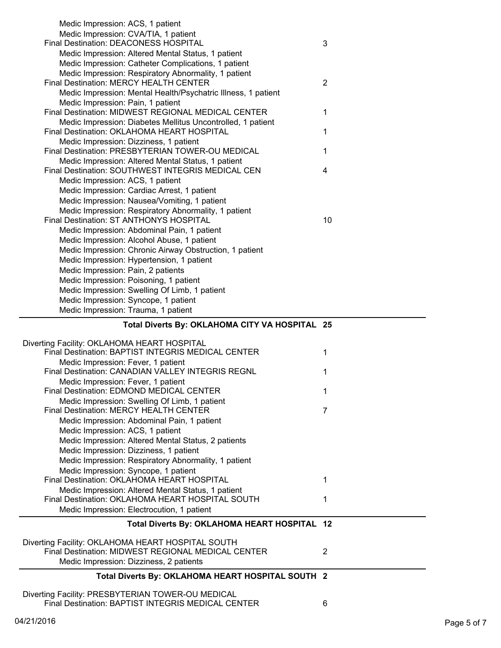| Medic Impression: ACS, 1 patient<br>Medic Impression: CVA/TIA, 1 patient                                |                |
|---------------------------------------------------------------------------------------------------------|----------------|
| Final Destination: DEACONESS HOSPITAL                                                                   | 3              |
| Medic Impression: Altered Mental Status, 1 patient                                                      |                |
| Medic Impression: Catheter Complications, 1 patient                                                     |                |
| Medic Impression: Respiratory Abnormality, 1 patient                                                    |                |
| Final Destination: MERCY HEALTH CENTER                                                                  | $\overline{2}$ |
| Medic Impression: Mental Health/Psychatric Illness, 1 patient                                           |                |
| Medic Impression: Pain, 1 patient                                                                       |                |
| Final Destination: MIDWEST REGIONAL MEDICAL CENTER                                                      | 1              |
| Medic Impression: Diabetes Mellitus Uncontrolled, 1 patient                                             |                |
| Final Destination: OKLAHOMA HEART HOSPITAL                                                              | 1              |
| Medic Impression: Dizziness, 1 patient                                                                  |                |
| Final Destination: PRESBYTERIAN TOWER-OU MEDICAL                                                        | 1              |
| Medic Impression: Altered Mental Status, 1 patient<br>Final Destination: SOUTHWEST INTEGRIS MEDICAL CEN | 4              |
| Medic Impression: ACS, 1 patient                                                                        |                |
| Medic Impression: Cardiac Arrest, 1 patient                                                             |                |
| Medic Impression: Nausea/Vomiting, 1 patient                                                            |                |
| Medic Impression: Respiratory Abnormality, 1 patient                                                    |                |
| Final Destination: ST ANTHONYS HOSPITAL                                                                 | 10             |
| Medic Impression: Abdominal Pain, 1 patient                                                             |                |
| Medic Impression: Alcohol Abuse, 1 patient                                                              |                |
| Medic Impression: Chronic Airway Obstruction, 1 patient                                                 |                |
| Medic Impression: Hypertension, 1 patient                                                               |                |
| Medic Impression: Pain, 2 patients                                                                      |                |
| Medic Impression: Poisoning, 1 patient                                                                  |                |
| Medic Impression: Swelling Of Limb, 1 patient                                                           |                |
| Medic Impression: Syncope, 1 patient                                                                    |                |
|                                                                                                         |                |
| Medic Impression: Trauma, 1 patient                                                                     |                |
| Total Diverts By: OKLAHOMA CITY VA HOSPITAL 25                                                          |                |
|                                                                                                         |                |
| Diverting Facility: OKLAHOMA HEART HOSPITAL<br>Final Destination: BAPTIST INTEGRIS MEDICAL CENTER       | 1              |
| Medic Impression: Fever, 1 patient                                                                      |                |
| Final Destination: CANADIAN VALLEY INTEGRIS REGNL                                                       | 1              |
| Medic Impression: Fever, 1 patient                                                                      |                |
| Final Destination: EDMOND MEDICAL CENTER                                                                | 1              |
| Medic Impression: Swelling Of Limb, 1 patient                                                           |                |
| Final Destination: MERCY HEALTH CENTER                                                                  | 7              |
| Medic Impression: Abdominal Pain, 1 patient                                                             |                |
| Medic Impression: ACS, 1 patient                                                                        |                |
| Medic Impression: Altered Mental Status, 2 patients                                                     |                |
| Medic Impression: Dizziness, 1 patient                                                                  |                |
| Medic Impression: Respiratory Abnormality, 1 patient                                                    |                |
| Medic Impression: Syncope, 1 patient                                                                    |                |
| Final Destination: OKLAHOMA HEART HOSPITAL                                                              | 1              |
| Medic Impression: Altered Mental Status, 1 patient                                                      |                |
| Final Destination: OKLAHOMA HEART HOSPITAL SOUTH                                                        | 1              |
| Medic Impression: Electrocution, 1 patient                                                              |                |
| Total Diverts By: OKLAHOMA HEART HOSPITAL 12                                                            |                |
|                                                                                                         |                |
| Diverting Facility: OKLAHOMA HEART HOSPITAL SOUTH<br>Final Destination: MIDWEST REGIONAL MEDICAL CENTER | $\overline{2}$ |
| Medic Impression: Dizziness, 2 patients                                                                 |                |
| Total Diverts By: OKLAHOMA HEART HOSPITAL SOUTH 2                                                       |                |
| Diverting Facility: PRESBYTERIAN TOWER-OU MEDICAL                                                       |                |

Final Destination: BAPTIST INTEGRIS MEDICAL CENTER 6

 $\overline{\phantom{0}}$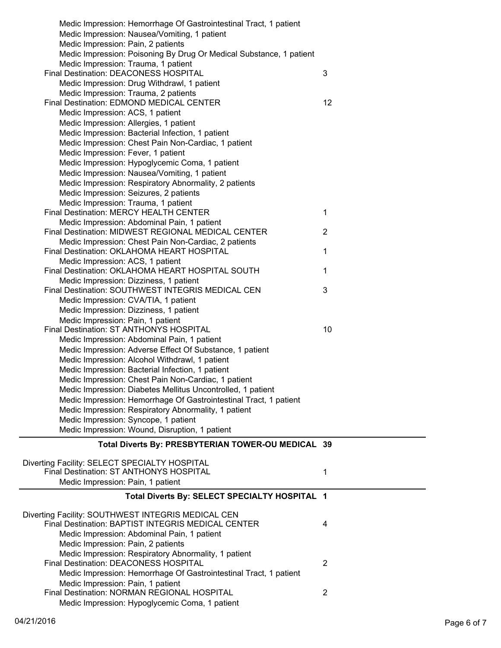| Medic Impression: Hemorrhage Of Gastrointestinal Tract, 1 patient<br>Medic Impression: Nausea/Vomiting, 1 patient<br>Medic Impression: Pain, 2 patients |                |
|---------------------------------------------------------------------------------------------------------------------------------------------------------|----------------|
| Medic Impression: Poisoning By Drug Or Medical Substance, 1 patient                                                                                     |                |
| Medic Impression: Trauma, 1 patient                                                                                                                     |                |
| Final Destination: DEACONESS HOSPITAL<br>Medic Impression: Drug Withdrawl, 1 patient                                                                    | 3              |
| Medic Impression: Trauma, 2 patients                                                                                                                    |                |
| Final Destination: EDMOND MEDICAL CENTER                                                                                                                | 12             |
| Medic Impression: ACS, 1 patient                                                                                                                        |                |
| Medic Impression: Allergies, 1 patient                                                                                                                  |                |
| Medic Impression: Bacterial Infection, 1 patient                                                                                                        |                |
| Medic Impression: Chest Pain Non-Cardiac, 1 patient                                                                                                     |                |
| Medic Impression: Fever, 1 patient                                                                                                                      |                |
| Medic Impression: Hypoglycemic Coma, 1 patient                                                                                                          |                |
| Medic Impression: Nausea/Vomiting, 1 patient                                                                                                            |                |
| Medic Impression: Respiratory Abnormality, 2 patients                                                                                                   |                |
| Medic Impression: Seizures, 2 patients                                                                                                                  |                |
| Medic Impression: Trauma, 1 patient<br>Final Destination: MERCY HEALTH CENTER                                                                           | 1              |
| Medic Impression: Abdominal Pain, 1 patient                                                                                                             |                |
| Final Destination: MIDWEST REGIONAL MEDICAL CENTER                                                                                                      | $\overline{2}$ |
| Medic Impression: Chest Pain Non-Cardiac, 2 patients                                                                                                    |                |
| Final Destination: OKLAHOMA HEART HOSPITAL                                                                                                              | 1              |
| Medic Impression: ACS, 1 patient                                                                                                                        |                |
| Final Destination: OKLAHOMA HEART HOSPITAL SOUTH                                                                                                        | 1              |
| Medic Impression: Dizziness, 1 patient                                                                                                                  |                |
| Final Destination: SOUTHWEST INTEGRIS MEDICAL CEN                                                                                                       | 3              |
| Medic Impression: CVA/TIA, 1 patient                                                                                                                    |                |
| Medic Impression: Dizziness, 1 patient                                                                                                                  |                |
| Medic Impression: Pain, 1 patient                                                                                                                       |                |
| Final Destination: ST ANTHONYS HOSPITAL                                                                                                                 | 10             |
| Medic Impression: Abdominal Pain, 1 patient<br>Medic Impression: Adverse Effect Of Substance, 1 patient                                                 |                |
| Medic Impression: Alcohol Withdrawl, 1 patient                                                                                                          |                |
| Medic Impression: Bacterial Infection, 1 patient                                                                                                        |                |
| Medic Impression: Chest Pain Non-Cardiac, 1 patient                                                                                                     |                |
| Medic Impression: Diabetes Mellitus Uncontrolled, 1 patient                                                                                             |                |
| Medic Impression: Hemorrhage Of Gastrointestinal Tract, 1 patient                                                                                       |                |
| Medic Impression: Respiratory Abnormality, 1 patient                                                                                                    |                |
| Medic Impression: Syncope, 1 patient                                                                                                                    |                |
| Medic Impression: Wound, Disruption, 1 patient                                                                                                          |                |
| Total Diverts By: PRESBYTERIAN TOWER-OU MEDICAL 39                                                                                                      |                |
| Diverting Facility: SELECT SPECIALTY HOSPITAL                                                                                                           |                |
| Final Destination: ST ANTHONYS HOSPITAL                                                                                                                 | 1              |
| Medic Impression: Pain, 1 patient                                                                                                                       |                |
| Total Diverts By: SELECT SPECIALTY HOSPITAL 1                                                                                                           |                |
|                                                                                                                                                         |                |
| Diverting Facility: SOUTHWEST INTEGRIS MEDICAL CEN                                                                                                      |                |
| Final Destination: BAPTIST INTEGRIS MEDICAL CENTER                                                                                                      | 4              |
| Medic Impression: Abdominal Pain, 1 patient                                                                                                             |                |
| Medic Impression: Pain, 2 patients                                                                                                                      |                |
| Medic Impression: Respiratory Abnormality, 1 patient                                                                                                    |                |
| Final Destination: DEACONESS HOSPITAL                                                                                                                   | $\overline{2}$ |
| Medic Impression: Hemorrhage Of Gastrointestinal Tract, 1 patient<br>Medic Impression: Pain, 1 patient                                                  |                |
|                                                                                                                                                         |                |
| Final Destination: NORMAN REGIONAL HOSPITAL                                                                                                             | $\overline{2}$ |

Medic Impression: Hypoglycemic Coma, 1 patient